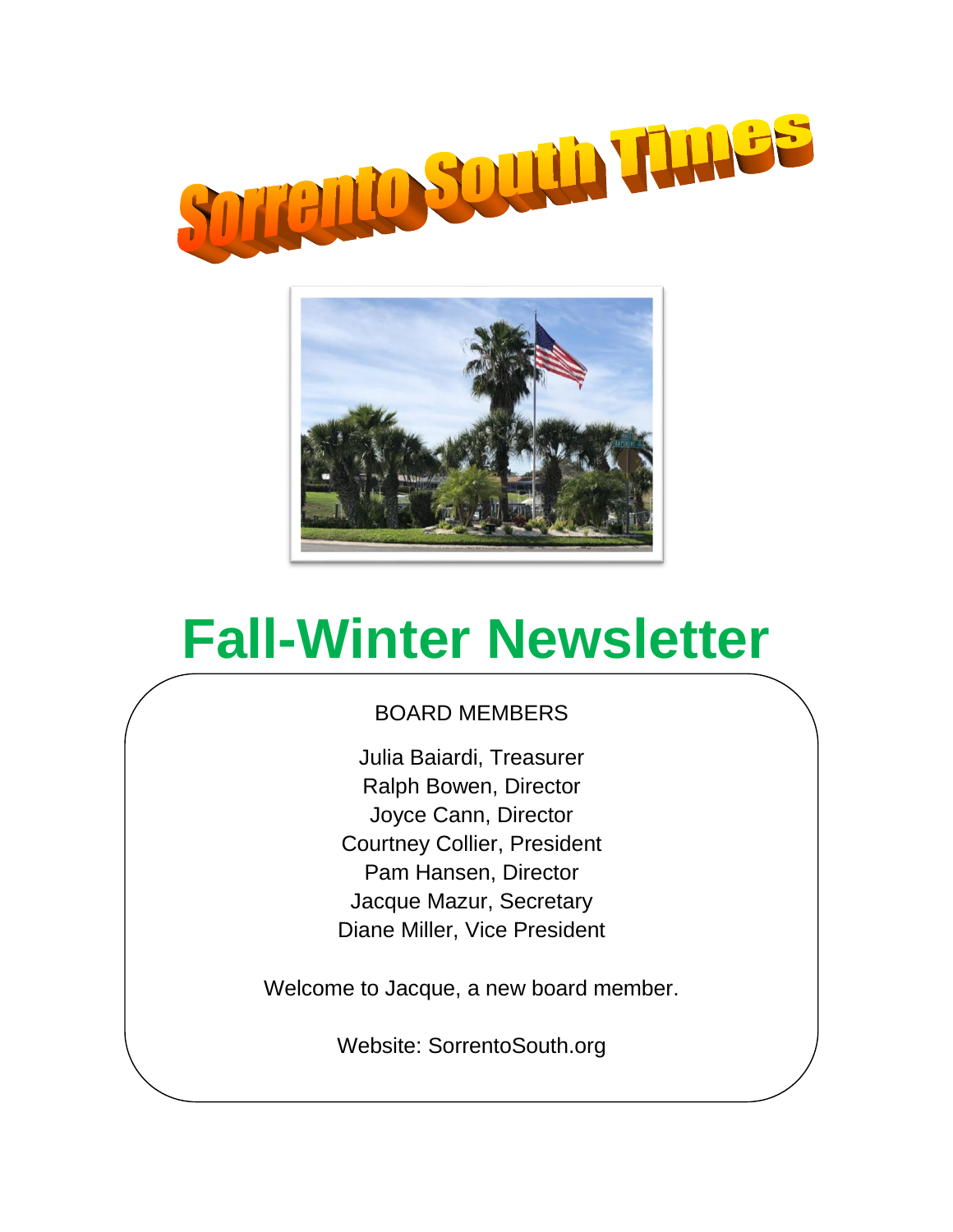



# **Fall-Winter Newsletter**

## BOARD MEMBERS

Julia Baiardi, Treasurer Ralph Bowen, Director Joyce Cann, Director Courtney Collier, President Pam Hansen, Director Jacque Mazur, Secretary Diane Miller, Vice President

Welcome to Jacque, a new board member.

Website: SorrentoSouth.org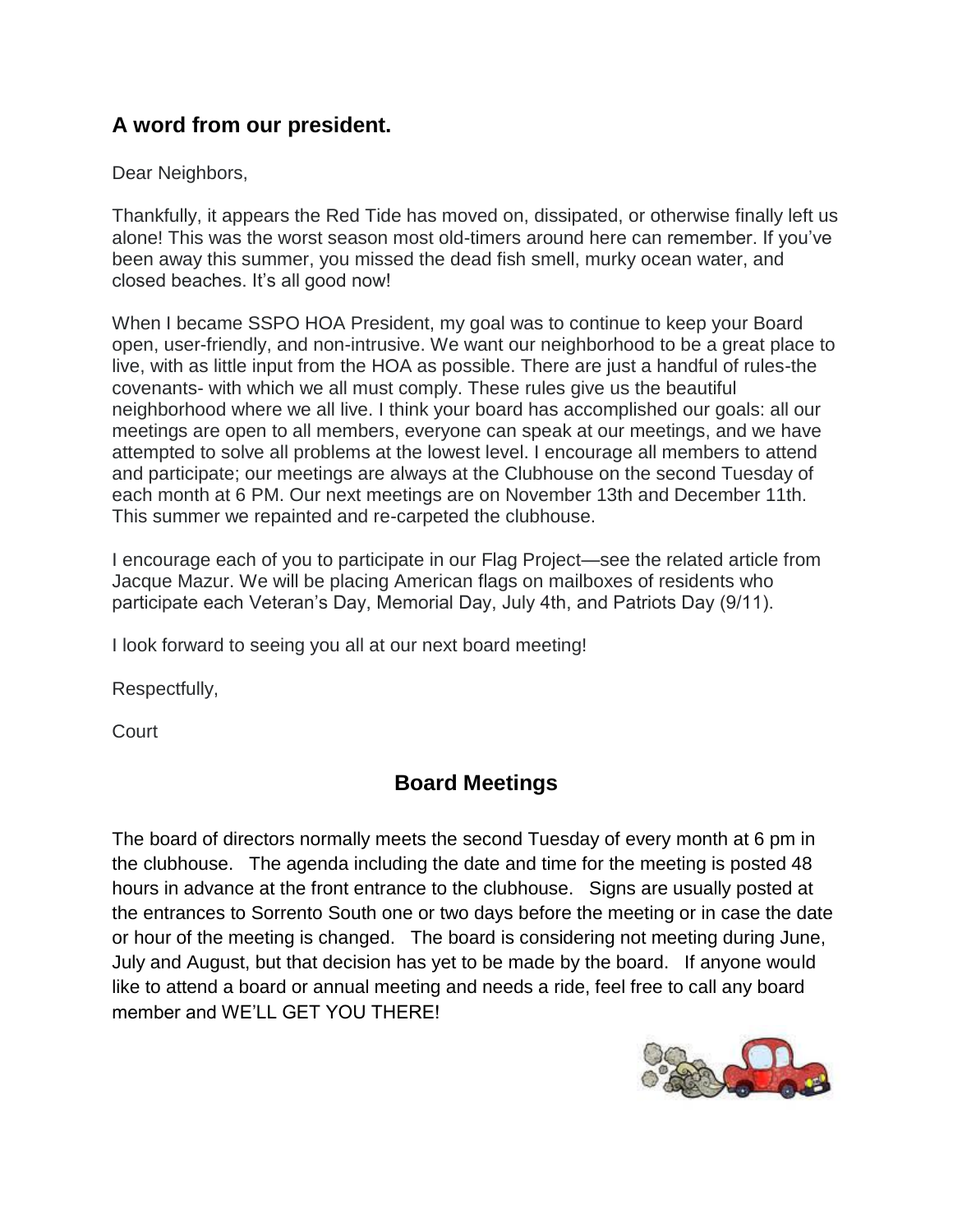## **A word from our president.**

Dear Neighbors,

Thankfully, it appears the Red Tide has moved on, dissipated, or otherwise finally left us alone! This was the worst season most old-timers around here can remember. If you've been away this summer, you missed the dead fish smell, murky ocean water, and closed beaches. It's all good now!

When I became SSPO HOA President, my goal was to continue to keep your Board open, user-friendly, and non-intrusive. We want our neighborhood to be a great place to live, with as little input from the HOA as possible. There are just a handful of rules-the covenants- with which we all must comply. These rules give us the beautiful neighborhood where we all live. I think your board has accomplished our goals: all our meetings are open to all members, everyone can speak at our meetings, and we have attempted to solve all problems at the lowest level. I encourage all members to attend and participate; our meetings are always at the Clubhouse on the second Tuesday of each month at 6 PM. Our next meetings are on November 13th and December 11th. This summer we repainted and re-carpeted the clubhouse.

I encourage each of you to participate in our Flag Project—see the related article from Jacque Mazur. We will be placing American flags on mailboxes of residents who participate each Veteran's Day, Memorial Day, July 4th, and Patriots Day (9/11).

I look forward to seeing you all at our next board meeting!

Respectfully,

Court

## **Board Meetings**

The board of directors normally meets the second Tuesday of every month at 6 pm in the clubhouse. The agenda including the date and time for the meeting is posted 48 hours in advance at the front entrance to the clubhouse. Signs are usually posted at the entrances to Sorrento South one or two days before the meeting or in case the date or hour of the meeting is changed. The board is considering not meeting during June, July and August, but that decision has yet to be made by the board. If anyone would like to attend a board or annual meeting and needs a ride, feel free to call any board member and WE'LL GET YOU THERE!

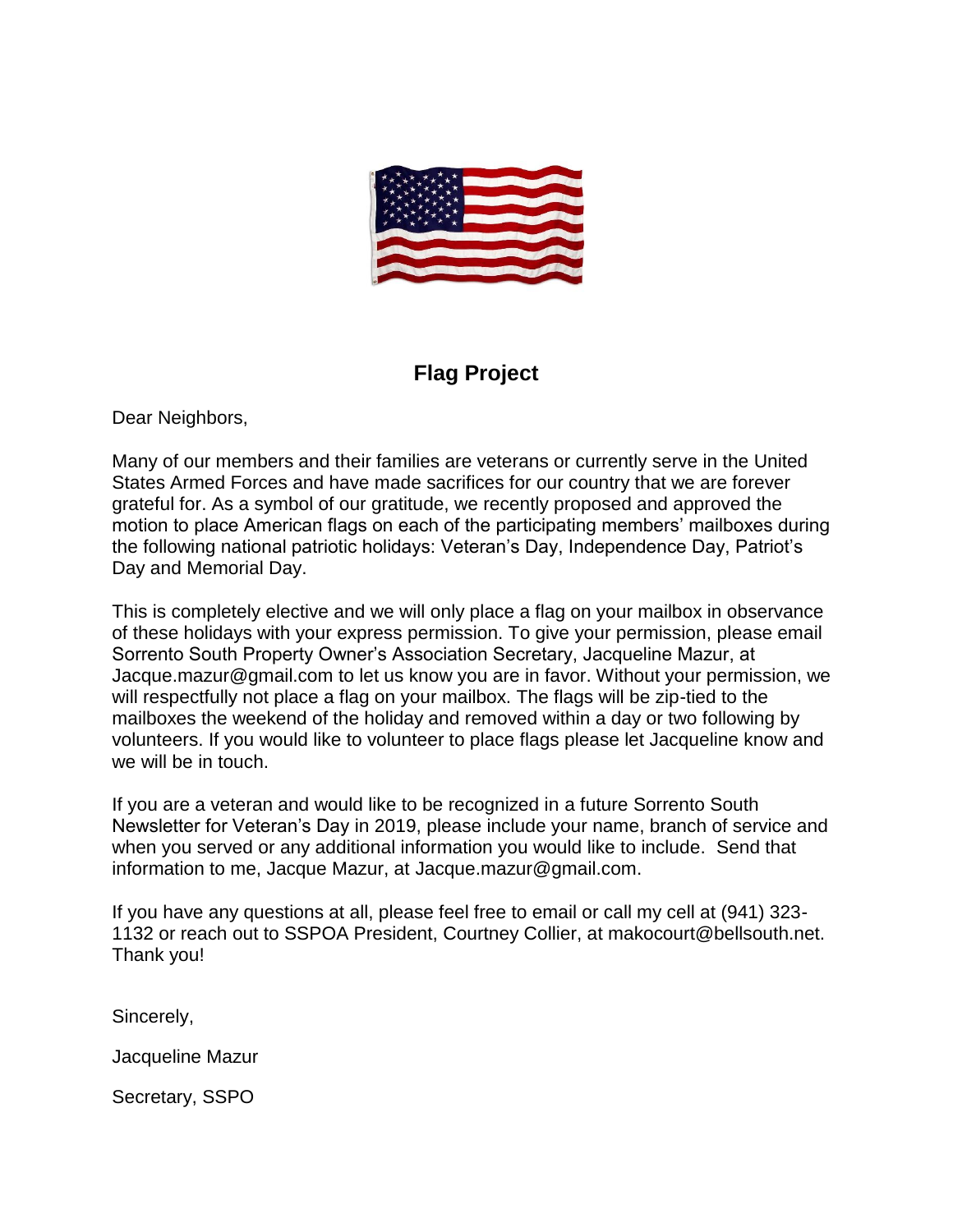

## **Flag Project**

Dear Neighbors,

Many of our members and their families are veterans or currently serve in the United States Armed Forces and have made sacrifices for our country that we are forever grateful for. As a symbol of our gratitude, we recently proposed and approved the motion to place American flags on each of the participating members' mailboxes during the following national patriotic holidays: Veteran's Day, Independence Day, Patriot's Day and Memorial Day.

This is completely elective and we will only place a flag on your mailbox in observance of these holidays with your express permission. To give your permission, please email Sorrento South Property Owner's Association Secretary, Jacqueline Mazur, at Jacque.mazur@gmail.com to let us know you are in favor. Without your permission, we will respectfully not place a flag on your mailbox. The flags will be zip-tied to the mailboxes the weekend of the holiday and removed within a day or two following by volunteers. If you would like to volunteer to place flags please let Jacqueline know and we will be in touch.

If you are a veteran and would like to be recognized in a future Sorrento South Newsletter for Veteran's Day in 2019, please include your name, branch of service and when you served or any additional information you would like to include. Send that information to me, Jacque Mazur, at [Jacque.mazur@gmail.com.](mailto:Jacque.mazur@gmail.com)

If you have any questions at all, please feel free to email or call my cell at (941) 323- 1132 or reach out to SSPOA President, Courtney Collier, at makocourt@bellsouth.net. Thank you!

Sincerely,

Jacqueline Mazur

Secretary, SSPO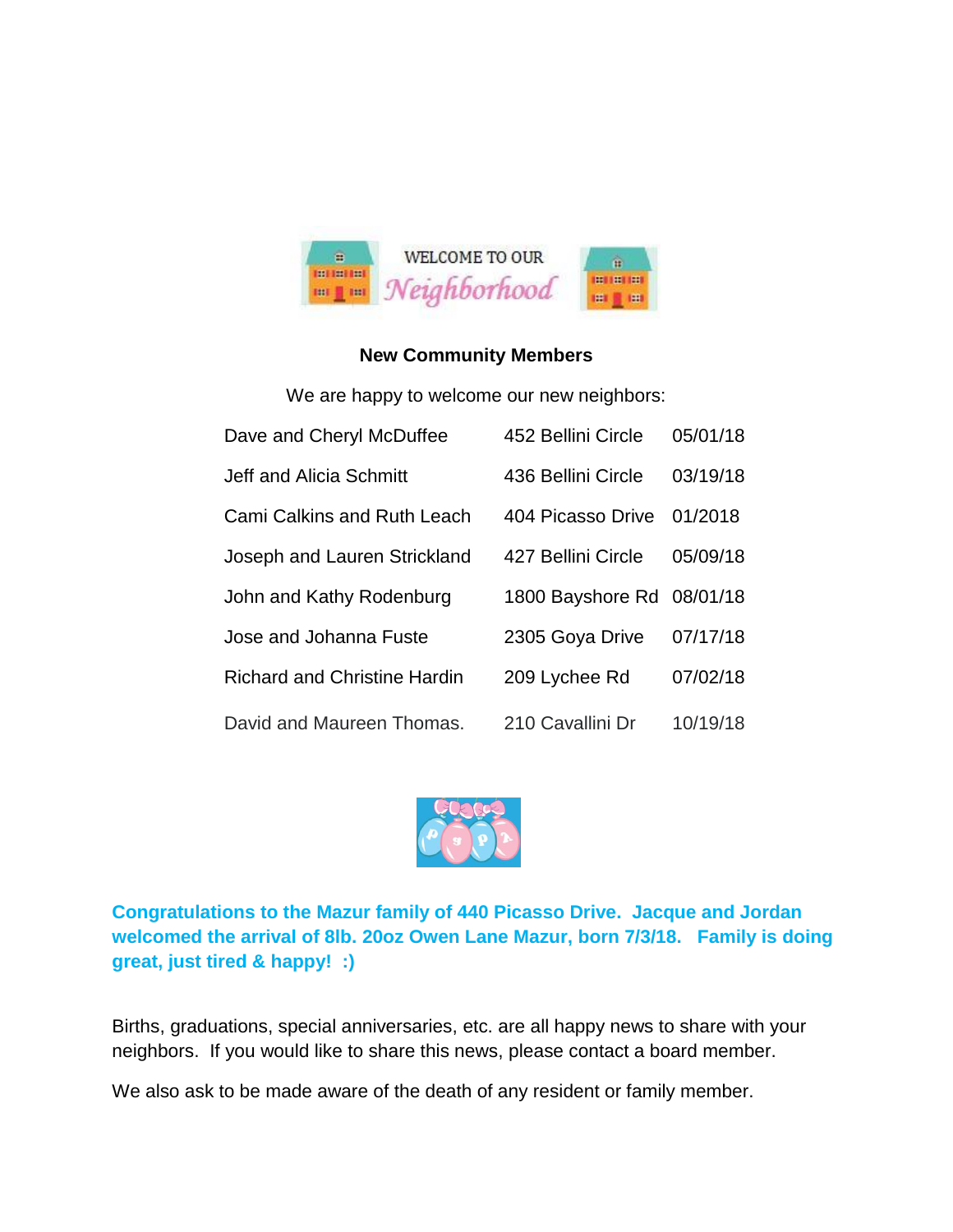

#### **New Community Members**

We are happy to welcome our new neighbors:

| Dave and Cheryl McDuffee            | 452 Bellini Circle        | 05/01/18 |
|-------------------------------------|---------------------------|----------|
| Jeff and Alicia Schmitt             | 436 Bellini Circle        | 03/19/18 |
| <b>Cami Calkins and Ruth Leach</b>  | 404 Picasso Drive         | 01/2018  |
| Joseph and Lauren Strickland        | 427 Bellini Circle        | 05/09/18 |
| John and Kathy Rodenburg            | 1800 Bayshore Rd 08/01/18 |          |
| Jose and Johanna Fuste              | 2305 Goya Drive           | 07/17/18 |
| <b>Richard and Christine Hardin</b> | 209 Lychee Rd             | 07/02/18 |
| David and Maureen Thomas.           | 210 Cavallini Dr          | 10/19/18 |



**Congratulations to the Mazur family of 440 Picasso Drive. Jacque and Jordan welcomed the arrival of 8lb. 20oz Owen Lane Mazur, born 7/3/18. Family is doing great, just tired & happy! :)**

Births, graduations, special anniversaries, etc. are all happy news to share with your neighbors. If you would like to share this news, please contact a board member.

We also ask to be made aware of the death of any resident or family member.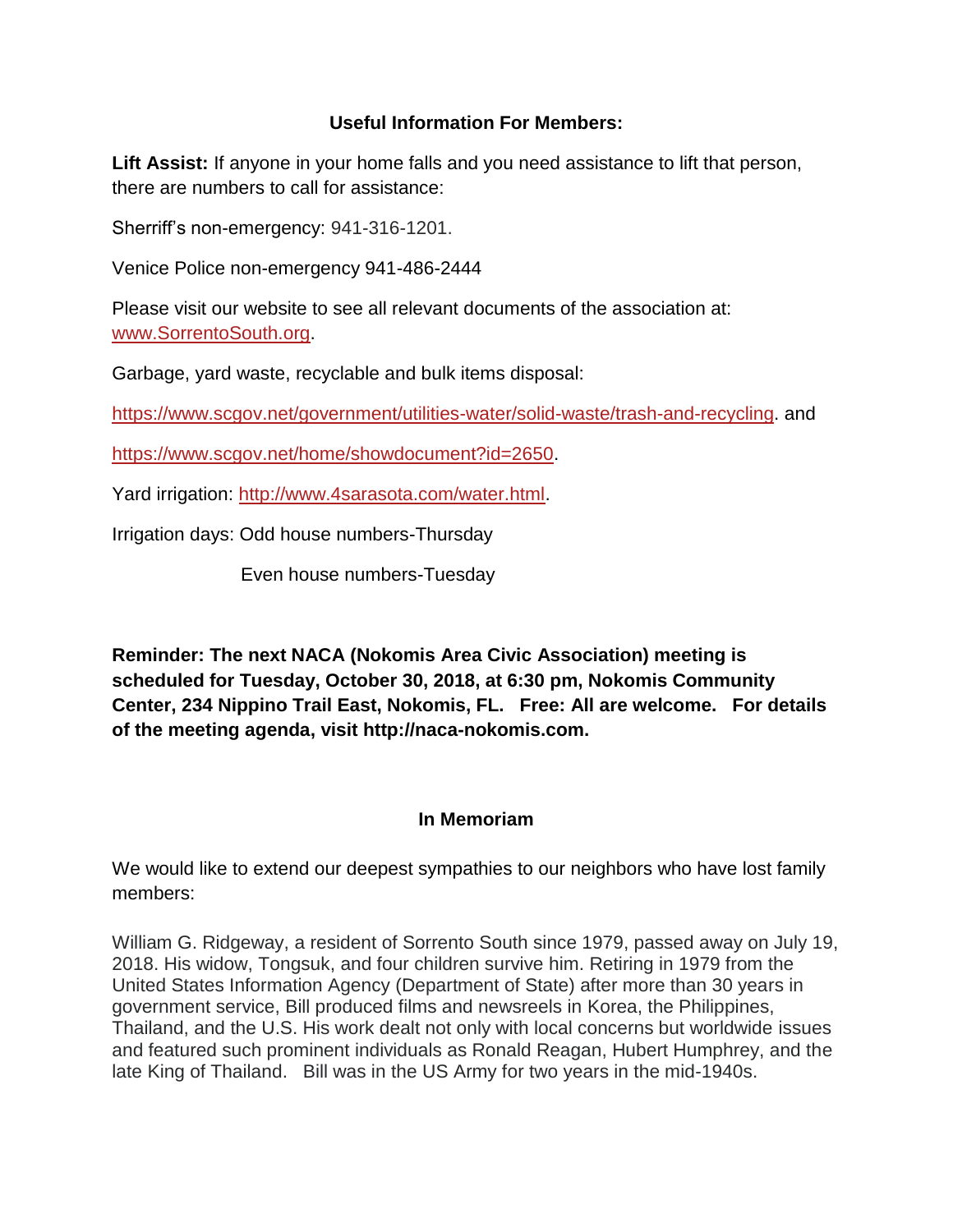#### **Useful Information For Members:**

**Lift Assist:** If anyone in your home falls and you need assistance to lift that person, there are numbers to call for assistance:

Sherriff's non-emergency: 941-316-1201.

Venice Police non-emergency 941-486-2444

Please visit our website to see all relevant documents of the association at: [www.SorrentoSouth.org.](http://www.sorrentosouth.org/)

Garbage, yard waste, recyclable and bulk items disposal:

[https://www.scgov.net/government/utilities-water/solid-waste/trash-and-recycling.](https://www.scgov.net/government/utilities-water/solid-waste/trash-and-recycling) and

[https://www.scgov.net/home/showdocument?id=2650.](https://www.scgov.net/home/showdocument?id=2650)

Yard irrigation: [http://www.4sarasota.com/water.html.](http://www.4sarasota.com/water.html)

Irrigation days: Odd house numbers-Thursday

Even house numbers-Tuesday

**Reminder: The next NACA (Nokomis Area Civic Association) meeting is scheduled for Tuesday, October 30, 2018, at 6:30 pm, Nokomis Community Center, 234 Nippino Trail East, Nokomis, FL. Free: All are welcome. For details of the meeting agenda, visit http://naca-nokomis.com.**

#### **In Memoriam**

We would like to extend our deepest sympathies to our neighbors who have lost family members:

William G. Ridgeway, a resident of Sorrento South since 1979, passed away on July 19, 2018. His widow, Tongsuk, and four children survive him. Retiring in 1979 from the United States Information Agency (Department of State) after more than 30 years in government service, Bill produced films and newsreels in Korea, the Philippines, Thailand, and the U.S. His work dealt not only with local concerns but worldwide issues and featured such prominent individuals as Ronald Reagan, Hubert Humphrey, and the late King of Thailand. Bill was in the US Army for two years in the mid-1940s.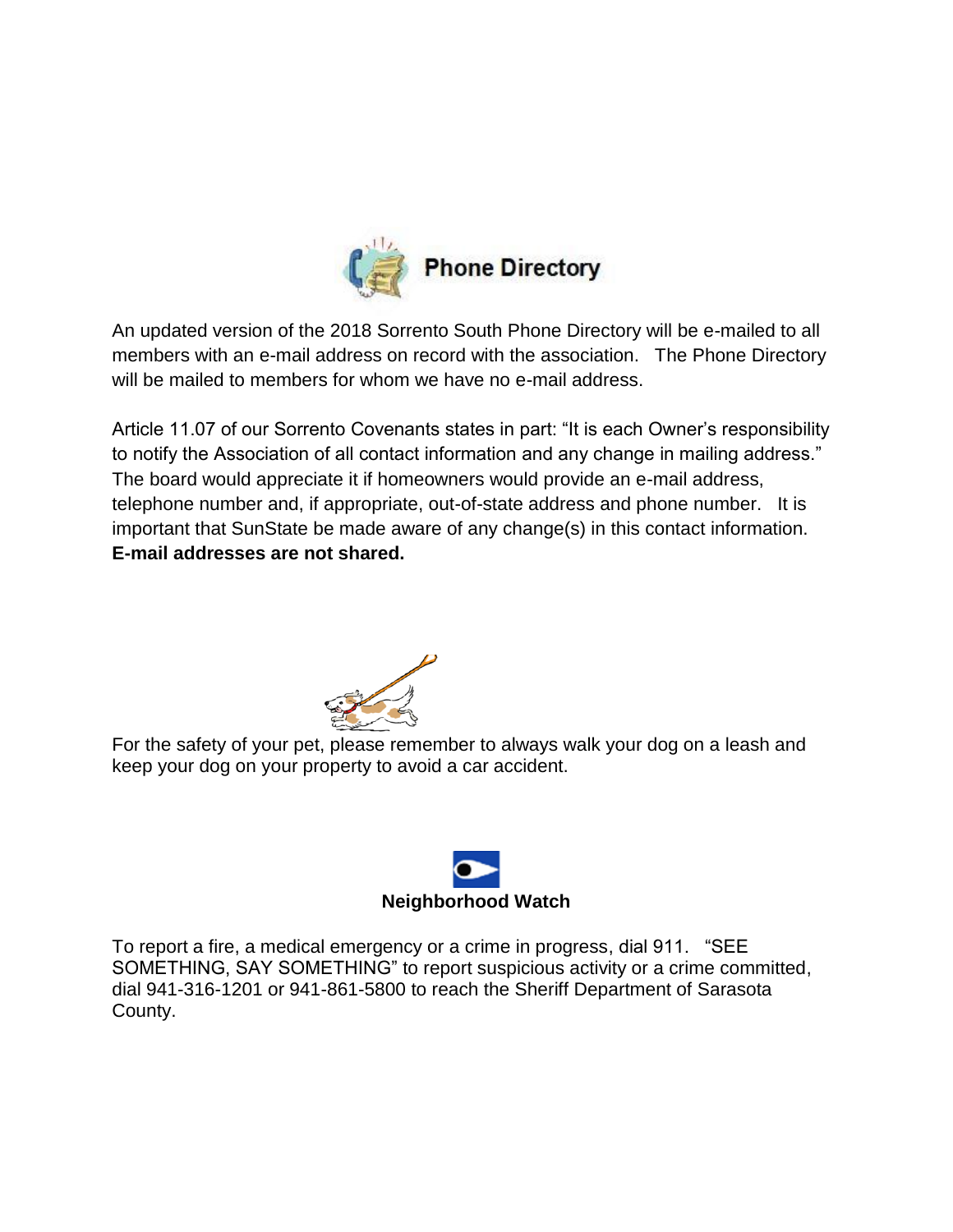

An updated version of the 2018 Sorrento South Phone Directory will be e-mailed to all members with an e-mail address on record with the association. The Phone Directory will be mailed to members for whom we have no e-mail address.

Article 11.07 of our Sorrento Covenants states in part: "It is each Owner's responsibility to notify the Association of all contact information and any change in mailing address." The board would appreciate it if homeowners would provide an e-mail address, telephone number and, if appropriate, out-of-state address and phone number. It is important that SunState be made aware of any change(s) in this contact information. **E-mail addresses are not shared.**



For the safety of your pet, please remember to always walk your dog on a leash and keep your dog on your property to avoid a car accident.



To report a fire, a medical emergency or a crime in progress, dial 911. "SEE SOMETHING, SAY SOMETHING" to report suspicious activity or a crime committed, dial 941-316-1201 or 941-861-5800 to reach the Sheriff Department of Sarasota County.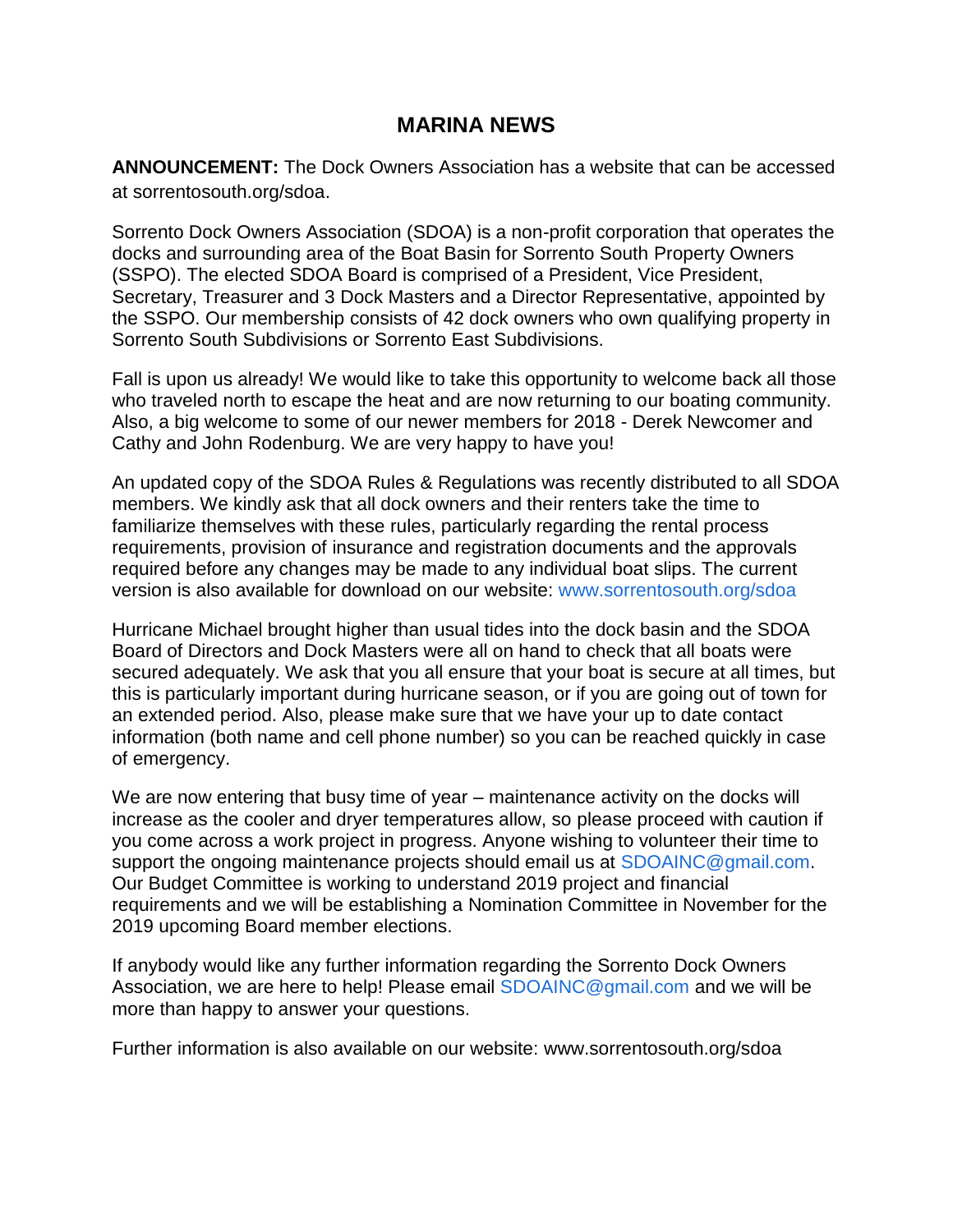### **MARINA NEWS**

**ANNOUNCEMENT:** The Dock Owners Association has a website that can be accessed at sorrentosouth.org/sdoa.

Sorrento Dock Owners Association (SDOA) is a non-profit corporation that operates the docks and surrounding area of the Boat Basin for Sorrento South Property Owners (SSPO). The elected SDOA Board is comprised of a President, Vice President, Secretary, Treasurer and 3 Dock Masters and a Director Representative, appointed by the SSPO. Our membership consists of 42 dock owners who own qualifying property in Sorrento South Subdivisions or Sorrento East Subdivisions.

Fall is upon us already! We would like to take this opportunity to welcome back all those who traveled north to escape the heat and are now returning to our boating community. Also, a big welcome to some of our newer members for 2018 - Derek Newcomer and Cathy and John Rodenburg. We are very happy to have you!

An updated copy of the SDOA Rules & Regulations was recently distributed to all SDOA members. We kindly ask that all dock owners and their renters take the time to familiarize themselves with these rules, particularly regarding the rental process requirements, provision of insurance and registration documents and the approvals required before any changes may be made to any individual boat slips. The current version is also available for download on our website: www.sorrentosouth.org/sdoa

Hurricane Michael brought higher than usual tides into the dock basin and the SDOA Board of Directors and Dock Masters were all on hand to check that all boats were secured adequately. We ask that you all ensure that your boat is secure at all times, but this is particularly important during hurricane season, or if you are going out of town for an extended period. Also, please make sure that we have your up to date contact information (both name and cell phone number) so you can be reached quickly in case of emergency.

We are now entering that busy time of year – maintenance activity on the docks will increase as the cooler and dryer temperatures allow, so please proceed with caution if you come across a work project in progress. Anyone wishing to volunteer their time to support the ongoing maintenance projects should email us at SDOAINC@gmail.com. Our Budget Committee is working to understand 2019 project and financial requirements and we will be establishing a Nomination Committee in November for the 2019 upcoming Board member elections.

If anybody would like any further information regarding the Sorrento Dock Owners Association, we are here to help! Please email SDOAINC@gmail.com and we will be more than happy to answer your questions.

Further information is also available on our website: www.sorrentosouth.org/sdoa